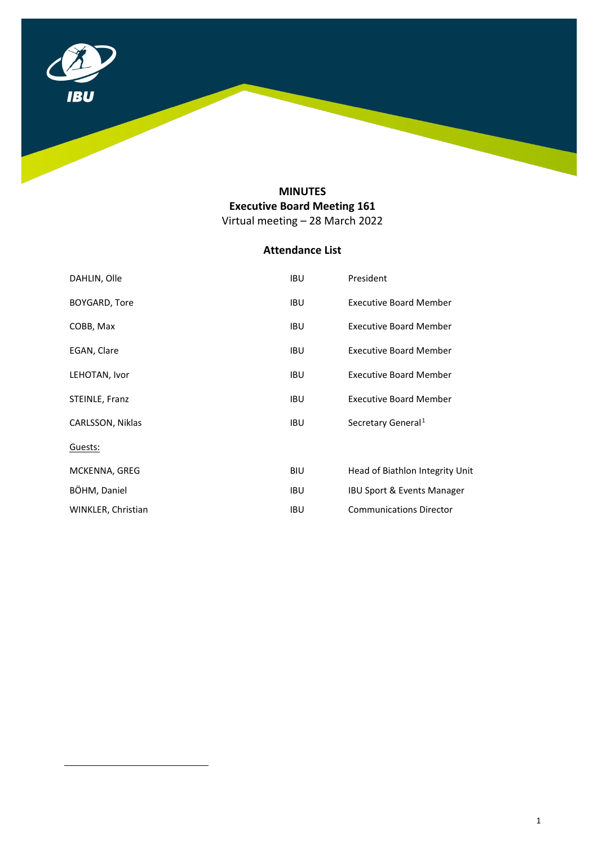

# **MINUTES Executive Board Meeting 161** Virtual meeting – 28 March 2022

# **Attendance List**

<span id="page-0-0"></span>

| DAHLIN, Olle       | <b>IBU</b> | President                       |
|--------------------|------------|---------------------------------|
| BOYGARD, Tore      | <b>IBU</b> | <b>Executive Board Member</b>   |
| COBB, Max          | <b>IBU</b> | <b>Executive Board Member</b>   |
| EGAN, Clare        | <b>IBU</b> | <b>Executive Board Member</b>   |
| LEHOTAN, Ivor      | <b>IBU</b> | <b>Executive Board Member</b>   |
| STEINLE, Franz     | <b>IBU</b> | <b>Executive Board Member</b>   |
| CARLSSON, Niklas   | <b>IBU</b> | Secretary General <sup>1</sup>  |
| Guests:            |            |                                 |
| MCKENNA, GREG      | BIU.       | Head of Biathlon Integrity Unit |
| BÖHM, Daniel       | <b>IBU</b> | IBU Sport & Events Manager      |
| WINKLER, Christian | <b>IBU</b> | <b>Communications Director</b>  |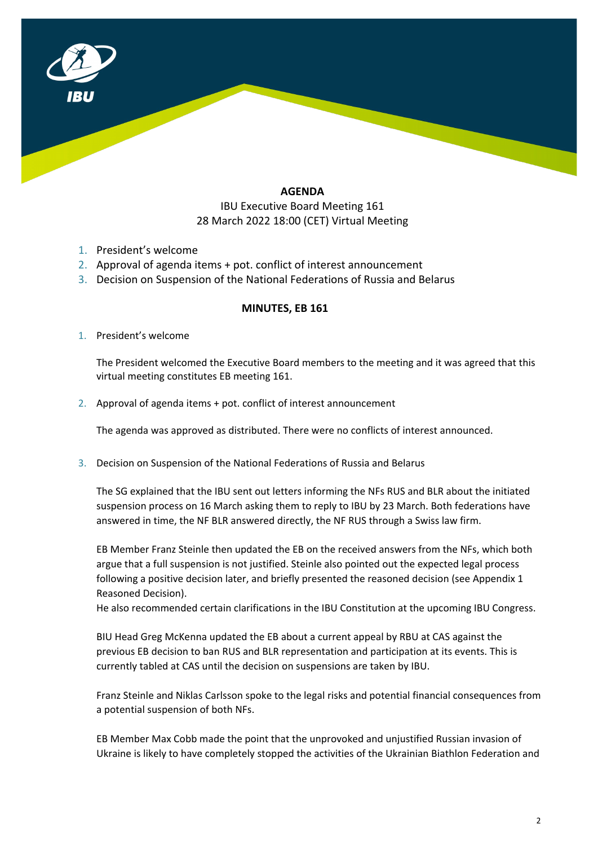

### **AGENDA**

## IBU Executive Board Meeting 161 28 March 2022 18:00 (CET) Virtual Meeting

- 1. President's welcome
- 2. Approval of agenda items + pot. conflict of interest announcement
- 3. Decision on Suspension of the National Federations of Russia and Belarus

### **MINUTES, EB 161**

1. President's welcome

The President welcomed the Executive Board members to the meeting and it was agreed that this virtual meeting constitutes EB meeting 161.

2. Approval of agenda items + pot. conflict of interest announcement

The agenda was approved as distributed. There were no conflicts of interest announced.

3. Decision on Suspension of the National Federations of Russia and Belarus

The SG explained that the IBU sent out letters informing the NFs RUS and BLR about the initiated suspension process on 16 March asking them to reply to IBU by 23 March. Both federations have answered in time, the NF BLR answered directly, the NF RUS through a Swiss law firm.

EB Member Franz Steinle then updated the EB on the received answers from the NFs, which both argue that a full suspension is not justified. Steinle also pointed out the expected legal process following a positive decision later, and briefly presented the reasoned decision (see Appendix 1 Reasoned Decision).

He also recommended certain clarifications in the IBU Constitution at the upcoming IBU Congress.

BIU Head Greg McKenna updated the EB about a current appeal by RBU at CAS against the previous EB decision to ban RUS and BLR representation and participation at its events. This is currently tabled at CAS until the decision on suspensions are taken by IBU.

Franz Steinle and Niklas Carlsson spoke to the legal risks and potential financial consequences from a potential suspension of both NFs.

EB Member Max Cobb made the point that the unprovoked and unjustified Russian invasion of Ukraine is likely to have completely stopped the activities of the Ukrainian Biathlon Federation and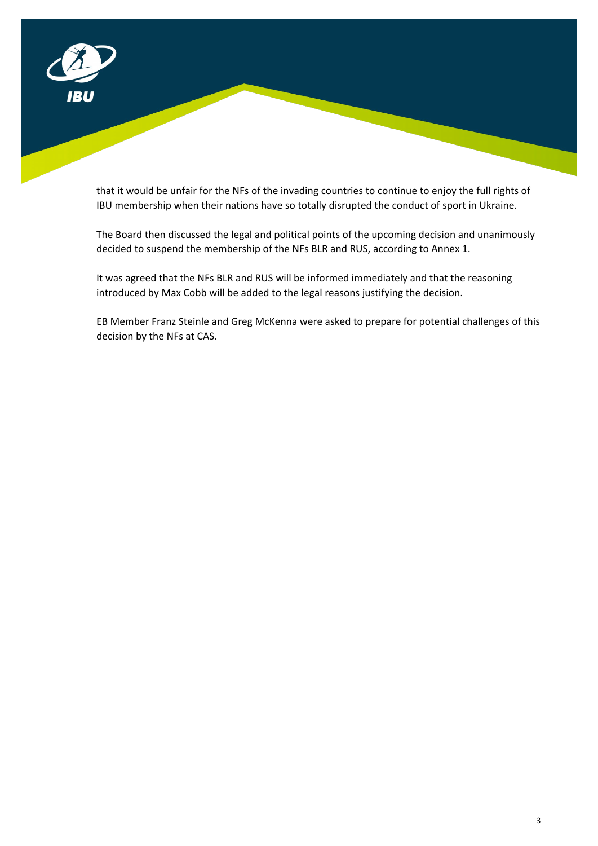

that it would be unfair for the NFs of the invading countries to continue to enjoy the full rights of IBU membership when their nations have so totally disrupted the conduct of sport in Ukraine.

The Board then discussed the legal and political points of the upcoming decision and unanimously decided to suspend the membership of the NFs BLR and RUS, according to Annex 1.

It was agreed that the NFs BLR and RUS will be informed immediately and that the reasoning introduced by Max Cobb will be added to the legal reasons justifying the decision.

EB Member Franz Steinle and Greg McKenna were asked to prepare for potential challenges of this decision by the NFs at CAS.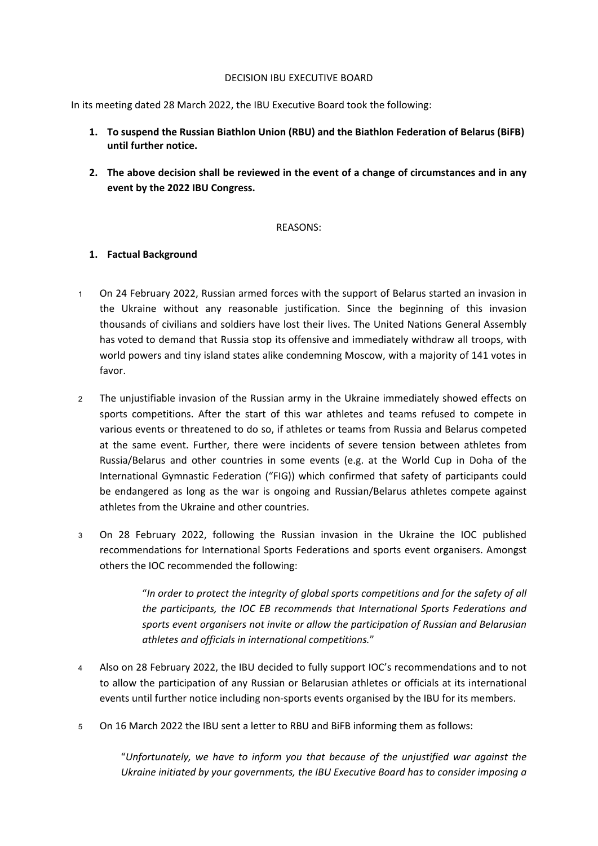#### DECISION IBU EXECUTIVE BOARD

In its meeting dated 28 March 2022, the IBU Executive Board took the following:

- **1. To suspend the Russian Biathlon Union (RBU) and the Biathlon Federation of Belarus (BiFB) until further notice.**
- **2. The above decision shall be reviewed in the event of a change of circumstances and in any event by the 2022 IBU Congress.**

### REASONS:

## **1. Factual Background**

- <sup>1</sup> On 24 February 2022, Russian armed forces with the support of Belarus started an invasion in the Ukraine without any reasonable justification. Since the beginning of this invasion thousands of civilians and soldiers have lost their lives. The United Nations General Assembly has [voted](https://www.aljazeera.com/news/2022/3/3/un-general-assembly-demands-russia-withdraw-troops-from-ukraine) to demand that Russia stop its [offensive](https://www.aljazeera.com/news/2022/3/2/russian-troops-in-streets-of-kherson-mayor-says-liveblog) and immediately withdraw all troops, with world powers and tiny island states alike condemning Moscow, with a majority of 141 votes in favor.
- <sup>2</sup> The unjustifiable invasion of the Russian army in the Ukraine immediately showed effects on sports competitions. After the start of this war athletes and teams refused to compete in various events or threatened to do so, if athletes or teams from Russia and Belarus competed at the same event. Further, there were incidents of severe tension between athletes from Russia/Belarus and other countries in some events (e.g. at the World Cup in Doha of the International Gymnastic Federation ("FIG)) which confirmed that safety of participants could be endangered as long as the war is ongoing and Russian/Belarus athletes compete against athletes from the Ukraine and other countries.
- <sup>3</sup> On 28 February 2022, following the Russian invasion in the Ukraine the IOC published recommendations for International Sports Federations and sports event organisers. Amongst others the IOC recommended the following:

"*In order to protect the integrity of global sports competitions and for the safety of all the participants, the IOC EB recommends that International Sports Federations and sports event organisers not invite or allow the participation of Russian and Belarusian athletes and officials in international competitions.*"

- <sup>4</sup> Also on 28 February 2022, the IBU decided to fully support IOC's recommendations and to not to allow the participation of any Russian or Belarusian athletes or officials at its international events until further notice including non-sports events organised by the IBU for its members.
- <sup>5</sup> On 16 March 2022 the IBU sent a letter to RBU and BiFB informing them as follows:

"*Unfortunately, we have to inform you that because of the unjustified war against the Ukraine initiated by your governments, the IBU Executive Board has to consider imposing a*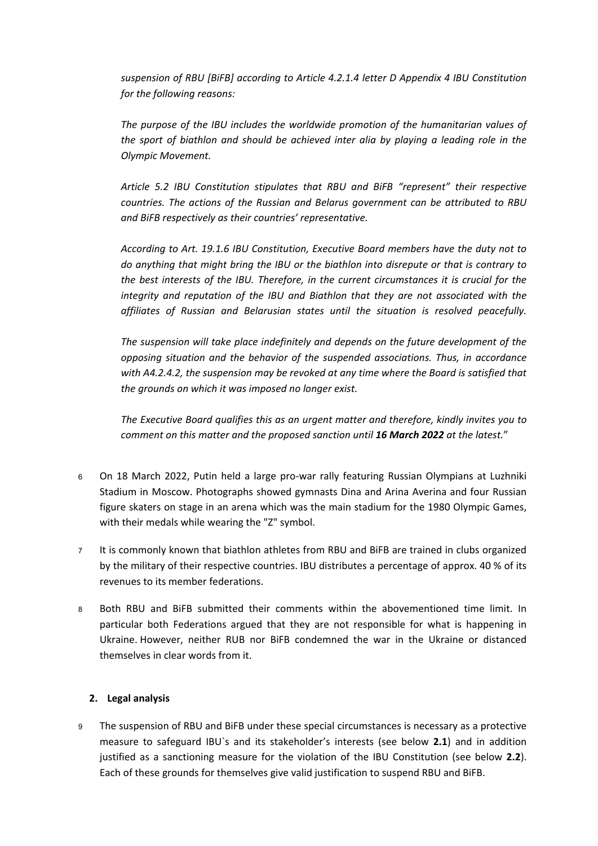*suspension of RBU [BiFB] according to Article 4.2.1.4 letter D Appendix 4 IBU Constitution for the following reasons:* 

*The purpose of the IBU includes the worldwide promotion of the humanitarian values of the sport of biathlon and should be achieved inter alia by playing a leading role in the Olympic Movement.*

*Article 5.2 IBU Constitution stipulates that RBU and BiFB "represent" their respective countries. The actions of the Russian and Belarus government can be attributed to RBU and BiFB respectively as their countries' representative.* 

*According to Art. 19.1.6 IBU Constitution, Executive Board members have the duty not to do anything that might bring the IBU or the biathlon into disrepute or that is contrary to the best interests of the IBU. Therefore, in the current circumstances it is crucial for the integrity and reputation of the IBU and Biathlon that they are not associated with the affiliates of Russian and Belarusian states until the situation is resolved peacefully.*

*The suspension will take place indefinitely and depends on the future development of the opposing situation and the behavior of the suspended associations. Thus, in accordance with A4.2.4.2, the suspension may be revoked at any time where the Board is satisfied that the grounds on which it was imposed no longer exist.*

*The Executive Board qualifies this as an urgent matter and therefore, kindly invites you to comment on this matter and the proposed sanction until 16 March 2022 at the latest.*"

- <sup>6</sup> On 18 March 2022, Putin held a large pro-war rally featuring Russian Olympians at Luzhniki Stadium in Moscow. Photographs showed gymnasts Dina and Arina Averina and four Russian figure skaters on stage in an arena which was the main stadium for the 1980 Olympic Games, with their medals while wearing the "Z" symbol.
- <sup>7</sup> It is commonly known that biathlon athletes from RBU and BiFB are trained in clubs organized by the military of their respective countries. IBU distributes a percentage of approx. 40 % of its revenues to its member federations.
- <sup>8</sup> Both RBU and BiFB submitted their comments within the abovementioned time limit. In particular both Federations argued that they are not responsible for what is happening in Ukraine. However, neither RUB nor BiFB condemned the war in the Ukraine or distanced themselves in clear words from it.

## **2. Legal analysis**

<sup>9</sup> The suspension of RBU and BiFB under these special circumstances is necessary as a protective measure to safeguard IBU`s and its stakeholder's interests (see below **2.1**) and in addition justified as a sanctioning measure for the violation of the IBU Constitution (see below **2.2**). Each of these grounds for themselves give valid justification to suspend RBU and BiFB.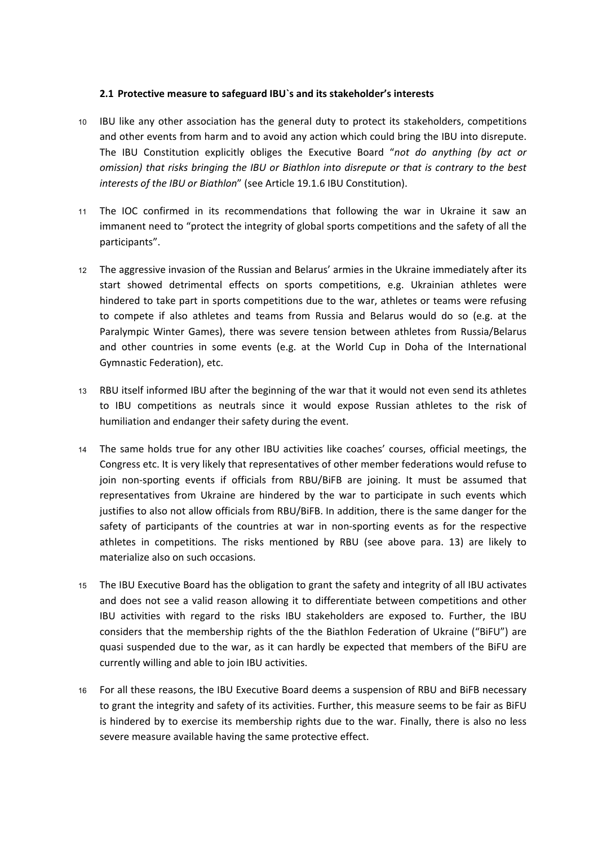### **2.1 Protective measure to safeguard IBU`s and its stakeholder's interests**

- <sup>10</sup> IBU like any other association has the general duty to protect its stakeholders, competitions and other events from harm and to avoid any action which could bring the IBU into disrepute. The IBU Constitution explicitly obliges the Executive Board "*not do anything (by act or omission) that risks bringing the IBU or Biathlon into disrepute or that is contrary to the best interests of the IBU or Biathlon*" (see Article 19.1.6 IBU Constitution).
- <sup>11</sup> The IOC confirmed in its recommendations that following the war in Ukraine it saw an immanent need to "protect the integrity of global sports competitions and the safety of all the participants".
- <sup>12</sup> The aggressive invasion of the Russian and Belarus' armies in the Ukraine immediately after its start showed detrimental effects on sports competitions, e.g. Ukrainian athletes were hindered to take part in sports competitions due to the war, athletes or teams were refusing to compete if also athletes and teams from Russia and Belarus would do so (e.g. at the Paralympic Winter Games), there was severe tension between athletes from Russia/Belarus and other countries in some events (e.g. at the World Cup in Doha of the International Gymnastic Federation), etc.
- <sup>13</sup> RBU itself informed IBU after the beginning of the war that it would not even send its athletes to IBU competitions as neutrals since it would expose Russian athletes to the risk of humiliation and endanger their safety during the event.
- <sup>14</sup> The same holds true for any other IBU activities like coaches' courses, official meetings, the Congress etc. It is very likely that representatives of other member federations would refuse to join non-sporting events if officials from RBU/BiFB are joining. It must be assumed that representatives from Ukraine are hindered by the war to participate in such events which justifies to also not allow officials from RBU/BiFB. In addition, there is the same danger for the safety of participants of the countries at war in non-sporting events as for the respective athletes in competitions. The risks mentioned by RBU (see above para. 13) are likely to materialize also on such occasions.
- <sup>15</sup> The IBU Executive Board has the obligation to grant the safety and integrity of all IBU activates and does not see a valid reason allowing it to differentiate between competitions and other IBU activities with regard to the risks IBU stakeholders are exposed to. Further, the IBU considers that the membership rights of the the Biathlon Federation of Ukraine ("BiFU") are quasi suspended due to the war, as it can hardly be expected that members of the BiFU are currently willing and able to join IBU activities.
- <sup>16</sup> For all these reasons, the IBU Executive Board deems a suspension of RBU and BiFB necessary to grant the integrity and safety of its activities. Further, this measure seems to be fair as BiFU is hindered by to exercise its membership rights due to the war. Finally, there is also no less severe measure available having the same protective effect.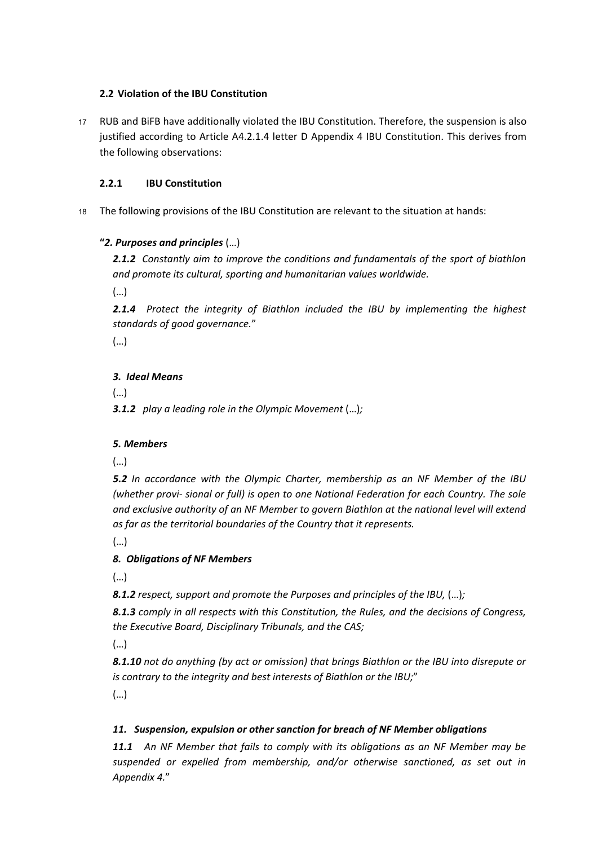## **2.2 Violation of the IBU Constitution**

<sup>17</sup> RUB and BiFB have additionally violated the IBU Constitution. Therefore, the suspension is also justified according to Article A4.2.1.4 letter D Appendix 4 IBU Constitution. This derives from the following observations:

## **2.2.1 IBU Constitution**

<sup>18</sup> The following provisions of the IBU Constitution are relevant to the situation at hands:

## **"***2. Purposes and principles* (…)

*2.1.2 Constantly aim to improve the conditions and fundamentals of the sport of biathlon and promote its cultural, sporting and humanitarian values worldwide.*

(…)

*2.1.4 Protect the integrity of Biathlon included the IBU by implementing the highest standards of good governance.*"

(…)

## *3. Ideal Means*

(…)

*3.1.2 play a leading role in the Olympic Movement* (…)*;*

## *5. Members*

(…)

*5.2 In accordance with the Olympic Charter, membership as an NF Member of the IBU (whether provi- sional or full) is open to one National Federation for each Country. The sole and exclusive authority of an NF Member to govern Biathlon at the national level will extend as far as the territorial boundaries of the Country that it represents.*

(…)

## *8. Obligations of NF Members*

(…)

*8.1.2 respect, support and promote the Purposes and principles of the IBU,* (…)*;*

*8.1.3 comply in all respects with this Constitution, the Rules, and the decisions of Congress, the Executive Board, Disciplinary Tribunals, and the CAS;*

(…)

*8.1.10 not do anything (by act or omission) that brings Biathlon or the IBU into disrepute or is contrary to the integrity and best interests of Biathlon or the IBU;*"

(…)

## *11. Suspension, expulsion or other sanction for breach of NF Member obligations*

*11.1 An NF Member that fails to comply with its obligations as an NF Member may be suspended or expelled from membership, and/or otherwise sanctioned, as set out in Appendix 4.*"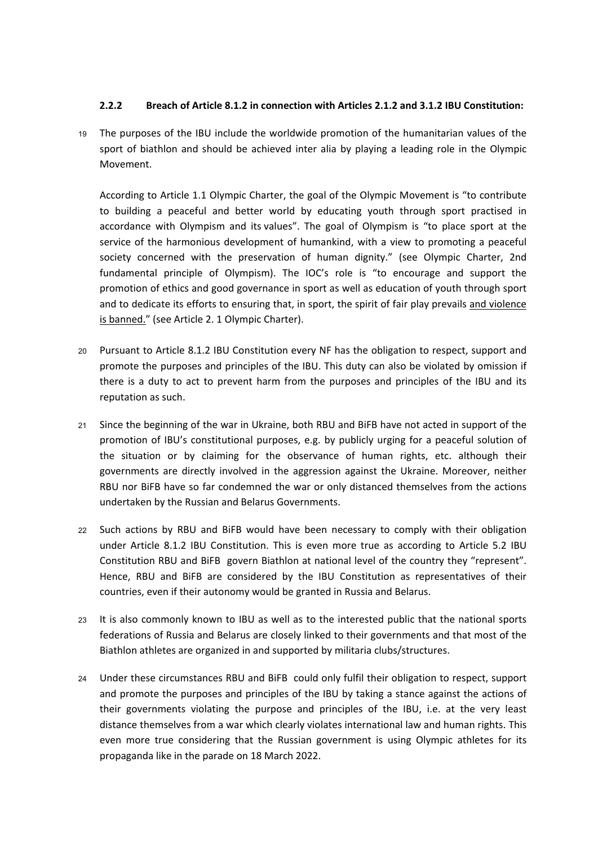### **2.2.2 Breach of Article 8.1.2 in connection with Articles 2.1.2 and 3.1.2 IBU Constitution:**

<sup>19</sup> The purposes of the IBU include the worldwide promotion of the humanitarian values of the sport of biathlon and should be achieved inter alia by playing a leading role in the Olympic Movement.

According to Article 1.1 Olympic Charter, the goal of the Olympic Movement is "to contribute to building a peaceful and better world by educating youth through sport practised in accordance with Olympism and its values". The goal of Olympism is "to place sport at the service of the harmonious development of humankind, with a view to promoting a peaceful society concerned with the preservation of human dignity." (see Olympic Charter, 2nd fundamental principle of Olympism). The IOC's role is "to encourage and support the promotion of ethics and good governance in sport as well as education of youth through sport and to dedicate its efforts to ensuring that, in sport, the spirit of fair play prevails and violence is banned." (see Article 2. 1 Olympic Charter).

- <sup>20</sup> Pursuant to Article 8.1.2 IBU Constitution every NF has the obligation to respect, support and promote the purposes and principles of the IBU. This duty can also be violated by omission if there is a duty to act to prevent harm from the purposes and principles of the IBU and its reputation as such.
- <sup>21</sup> Since the beginning of the war in Ukraine, both RBU and BiFB have not acted in support of the promotion of IBU's constitutional purposes, e.g. by publicly urging for a peaceful solution of the situation or by claiming for the observance of human rights, etc. although their governments are directly involved in the aggression against the Ukraine. Moreover, neither RBU nor BiFB have so far condemned the war or only distanced themselves from the actions undertaken by the Russian and Belarus Governments.
- <sup>22</sup> Such actions by RBU and BiFB would have been necessary to comply with their obligation under Article 8.1.2 IBU Constitution. This is even more true as according to Article 5.2 IBU Constitution RBU and BiFB govern Biathlon at national level of the country they "represent". Hence, RBU and BiFB are considered by the IBU Constitution as representatives of their countries, even if their autonomy would be granted in Russia and Belarus.
- <sup>23</sup> It is also commonly known to IBU as well as to the interested public that the national sports federations of Russia and Belarus are closely linked to their governments and that most of the Biathlon athletes are organized in and supported by militaria clubs/structures.
- <sup>24</sup> Under these circumstances RBU and BiFB could only fulfil their obligation to respect, support and promote the purposes and principles of the IBU by taking a stance against the actions of their governments violating the purpose and principles of the IBU, i.e. at the very least distance themselves from a war which clearly violates international law and human rights. This even more true considering that the Russian government is using Olympic athletes for its propaganda like in the parade on 18 March 2022.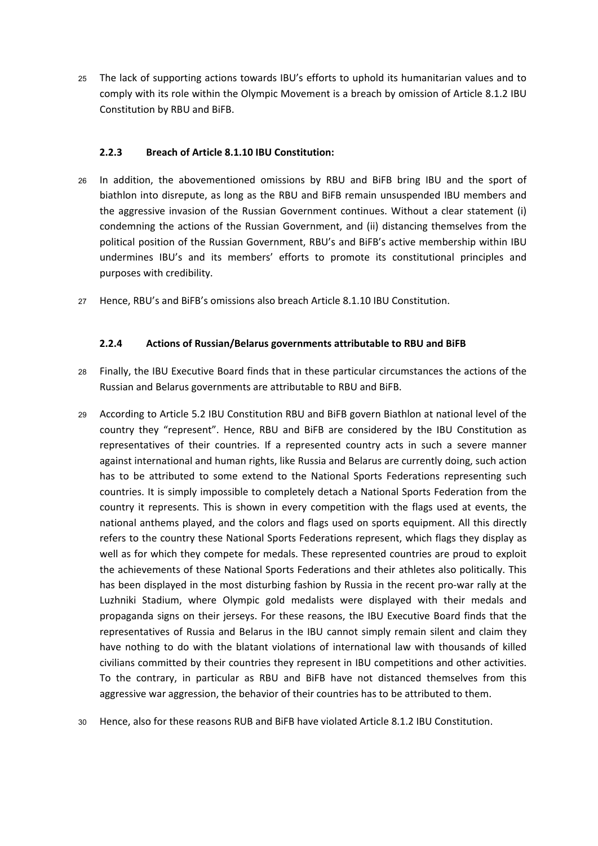<sup>25</sup> The lack of supporting actions towards IBU's efforts to uphold its humanitarian values and to comply with its role within the Olympic Movement is a breach by omission of Article 8.1.2 IBU Constitution by RBU and BiFB.

### **2.2.3 Breach of Article 8.1.10 IBU Constitution:**

- <sup>26</sup> In addition, the abovementioned omissions by RBU and BiFB bring IBU and the sport of biathlon into disrepute, as long as the RBU and BiFB remain unsuspended IBU members and the aggressive invasion of the Russian Government continues. Without a clear statement (i) condemning the actions of the Russian Government, and (ii) distancing themselves from the political position of the Russian Government, RBU's and BiFB's active membership within IBU undermines IBU's and its members' efforts to promote its constitutional principles and purposes with credibility.
- <sup>27</sup> Hence, RBU's and BiFB's omissions also breach Article 8.1.10 IBU Constitution.

### **2.2.4 Actions of Russian/Belarus governments attributable to RBU and BiFB**

- <sup>28</sup> Finally, the IBU Executive Board finds that in these particular circumstances the actions of the Russian and Belarus governments are attributable to RBU and BiFB.
- <sup>29</sup> According to Article 5.2 IBU Constitution RBU and BiFB govern Biathlon at national level of the country they "represent". Hence, RBU and BiFB are considered by the IBU Constitution as representatives of their countries. If a represented country acts in such a severe manner against international and human rights, like Russia and Belarus are currently doing, such action has to be attributed to some extend to the National Sports Federations representing such countries. It is simply impossible to completely detach a National Sports Federation from the country it represents. This is shown in every competition with the flags used at events, the national anthems played, and the colors and flags used on sports equipment. All this directly refers to the country these National Sports Federations represent, which flags they display as well as for which they compete for medals. These represented countries are proud to exploit the achievements of these National Sports Federations and their athletes also politically. This has been displayed in the most disturbing fashion by Russia in the recent pro-war rally at the Luzhniki Stadium, where Olympic gold medalists were displayed with their medals and propaganda signs on their jerseys. For these reasons, the IBU Executive Board finds that the representatives of Russia and Belarus in the IBU cannot simply remain silent and claim they have nothing to do with the blatant violations of international law with thousands of killed civilians committed by their countries they represent in IBU competitions and other activities. To the contrary, in particular as RBU and BiFB have not distanced themselves from this aggressive war aggression, the behavior of their countries has to be attributed to them.
- <sup>30</sup> Hence, also for these reasons RUB and BiFB have violated Article 8.1.2 IBU Constitution.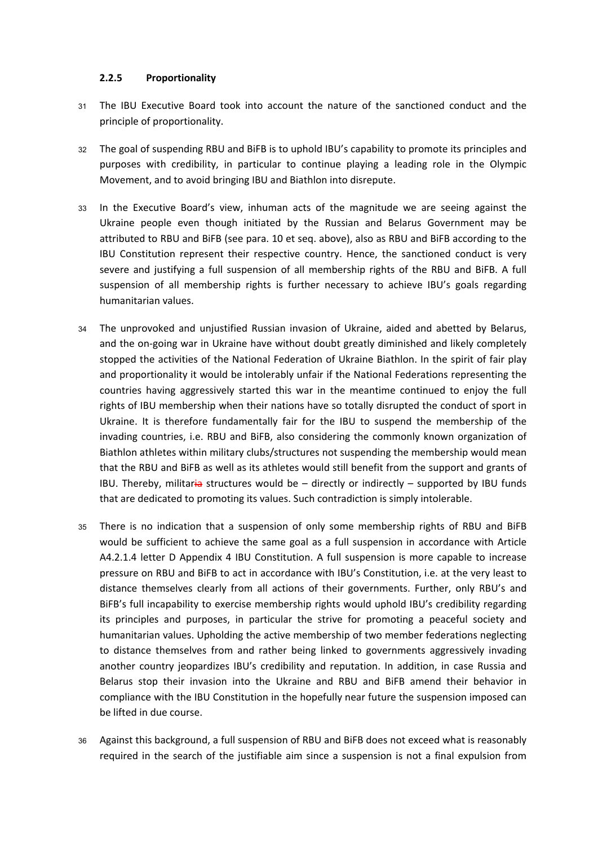### **2.2.5 Proportionality**

- <sup>31</sup> The IBU Executive Board took into account the nature of the sanctioned conduct and the principle of proportionality.
- <sup>32</sup> The goal of suspending RBU and BiFB is to uphold IBU's capability to promote its principles and purposes with credibility, in particular to continue playing a leading role in the Olympic Movement, and to avoid bringing IBU and Biathlon into disrepute.
- <sup>33</sup> In the Executive Board's view, inhuman acts of the magnitude we are seeing against the Ukraine people even though initiated by the Russian and Belarus Government may be attributed to RBU and BiFB (see para. 10 et seq. above), also as RBU and BiFB according to the IBU Constitution represent their respective country. Hence, the sanctioned conduct is very severe and justifying a full suspension of all membership rights of the RBU and BiFB. A full suspension of all membership rights is further necessary to achieve IBU's goals regarding humanitarian values.
- <sup>34</sup> The unprovoked and unjustified Russian invasion of Ukraine, aided and abetted by Belarus, and the on-going war in Ukraine have without doubt greatly diminished and likely completely stopped the activities of the National Federation of Ukraine Biathlon. In the spirit of fair play and proportionality it would be intolerably unfair if the National Federations representing the countries having aggressively started this war in the meantime continued to enjoy the full rights of IBU membership when their nations have so totally disrupted the conduct of sport in Ukraine. It is therefore fundamentally fair for the IBU to suspend the membership of the invading countries, i.e. RBU and BiFB, also considering the commonly known organization of Biathlon athletes within military clubs/structures not suspending the membership would mean that the RBU and BiFB as well as its athletes would still benefit from the support and grants of IBU. Thereby, militaria structures would be  $-$  directly or indirectly  $-$  supported by IBU funds that are dedicated to promoting its values. Such contradiction is simply intolerable.
- <sup>35</sup> There is no indication that a suspension of only some membership rights of RBU and BiFB would be sufficient to achieve the same goal as a full suspension in accordance with Article A4.2.1.4 letter D Appendix 4 IBU Constitution. A full suspension is more capable to increase pressure on RBU and BiFB to act in accordance with IBU's Constitution, i.e. at the very least to distance themselves clearly from all actions of their governments. Further, only RBU's and BiFB's full incapability to exercise membership rights would uphold IBU's credibility regarding its principles and purposes, in particular the strive for promoting a peaceful society and humanitarian values. Upholding the active membership of two member federations neglecting to distance themselves from and rather being linked to governments aggressively invading another country jeopardizes IBU's credibility and reputation. In addition, in case Russia and Belarus stop their invasion into the Ukraine and RBU and BiFB amend their behavior in compliance with the IBU Constitution in the hopefully near future the suspension imposed can be lifted in due course.
- <sup>36</sup> Against this background, a full suspension of RBU and BiFB does not exceed what is reasonably required in the search of the justifiable aim since a suspension is not a final expulsion from